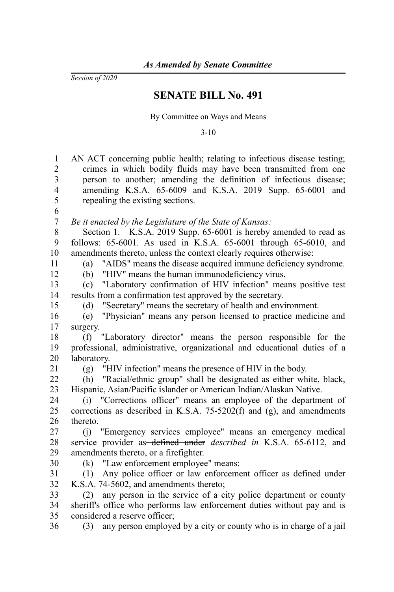*Session of 2020*

## **SENATE BILL No. 491**

By Committee on Ways and Means

3-10

| 1              | AN ACT concerning public health; relating to infectious disease testing;  |
|----------------|---------------------------------------------------------------------------|
| $\overline{2}$ | crimes in which bodily fluids may have been transmitted from one          |
| 3              | person to another; amending the definition of infectious disease;         |
| $\overline{4}$ | amending K.S.A. 65-6009 and K.S.A. 2019 Supp. 65-6001 and                 |
| 5              | repealing the existing sections.                                          |
| 6              |                                                                           |
| $\overline{7}$ | Be it enacted by the Legislature of the State of Kansas:                  |
| $\,$ 8 $\,$    | Section 1. K.S.A. 2019 Supp. 65-6001 is hereby amended to read as         |
| 9              | follows: 65-6001. As used in K.S.A. 65-6001 through 65-6010, and          |
| 10             | amendments thereto, unless the context clearly requires otherwise:        |
| 11             | "AIDS" means the disease acquired immune deficiency syndrome.<br>(a)      |
| 12             | "HIV" means the human immunodeficiency virus.<br>(b)                      |
| 13             | "Laboratory confirmation of HIV infection" means positive test<br>(c)     |
| 14             | results from a confirmation test approved by the secretary.               |
| 15             | "Secretary" means the secretary of health and environment.<br>(d)         |
| 16             | "Physician" means any person licensed to practice medicine and<br>(e)     |
| 17             | surgery.                                                                  |
| 18             | "Laboratory director" means the person responsible for the<br>(f)         |
| 19             | professional, administrative, organizational and educational duties of a  |
| 20             | laboratory.                                                               |
| 21             | "HIV infection" means the presence of HIV in the body.<br>(g)             |
| 22             | "Racial/ethnic group" shall be designated as either white, black,<br>(h)  |
| 23             | Hispanic, Asian/Pacific islander or American Indian/Alaskan Native.       |
| 24             | (i) "Corrections officer" means an employee of the department of          |
| 25             | corrections as described in K.S.A. 75-5202(f) and (g), and amendments     |
| 26             | thereto.                                                                  |
| 27             | (j) "Emergency services employee" means an emergency medical              |
| 28             | service provider as defined under <i>described</i> in K.S.A. 65-6112, and |
| 29             | amendments thereto, or a firefighter.                                     |
| 30             | "Law enforcement employee" means:<br>(k)                                  |
| 31             | Any police officer or law enforcement officer as defined under<br>(1)     |
| 32             | K.S.A. 74-5602, and amendments thereto;                                   |
| 33             | any person in the service of a city police department or county<br>(2)    |
| 34             | sheriff's office who performs law enforcement duties without pay and is   |
| 35             | considered a reserve officer;                                             |
| 36             | any person employed by a city or county who is in charge of a jail<br>(3) |
|                |                                                                           |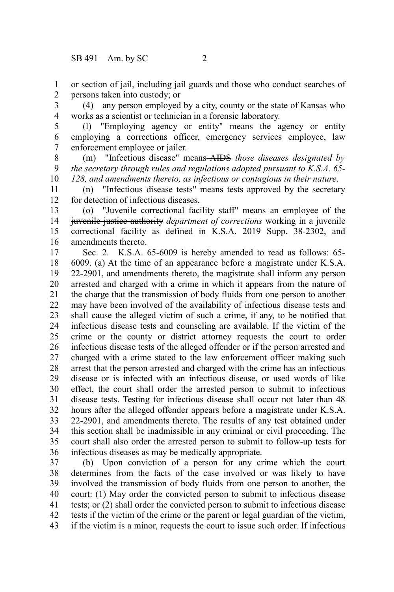or section of jail, including jail guards and those who conduct searches of persons taken into custody; or 1 2

(4) any person employed by a city, county or the state of Kansas who works as a scientist or technician in a forensic laboratory. 3 4

(l) "Employing agency or entity" means the agency or entity employing a corrections officer, emergency services employee, law enforcement employee or jailer. 5 6 7

(m) "Infectious disease" means AIDS *those diseases designated by the secretary through rules and regulations adopted pursuant to K.S.A. 65- 128, and amendments thereto, as infectious or contagious in their nature*. 8 9 10

(n) "Infectious disease tests" means tests approved by the secretary for detection of infectious diseases. 11 12

(o) "Juvenile correctional facility staff" means an employee of the juvenile justice authority *department of corrections* working in a juvenile correctional facility as defined in K.S.A. 2019 Supp. 38-2302, and amendments thereto. 13 14 15 16

Sec. 2. K.S.A. 65-6009 is hereby amended to read as follows: 65- 6009. (a) At the time of an appearance before a magistrate under K.S.A. 22-2901, and amendments thereto, the magistrate shall inform any person arrested and charged with a crime in which it appears from the nature of the charge that the transmission of body fluids from one person to another may have been involved of the availability of infectious disease tests and shall cause the alleged victim of such a crime, if any, to be notified that infectious disease tests and counseling are available. If the victim of the crime or the county or district attorney requests the court to order infectious disease tests of the alleged offender or if the person arrested and charged with a crime stated to the law enforcement officer making such arrest that the person arrested and charged with the crime has an infectious disease or is infected with an infectious disease, or used words of like effect, the court shall order the arrested person to submit to infectious disease tests. Testing for infectious disease shall occur not later than 48 hours after the alleged offender appears before a magistrate under K.S.A. 22-2901, and amendments thereto. The results of any test obtained under this section shall be inadmissible in any criminal or civil proceeding. The court shall also order the arrested person to submit to follow-up tests for infectious diseases as may be medically appropriate. 17 18 19 20 21 22 23 24 25 26 27 28 29 30 31 32 33 34 35 36

(b) Upon conviction of a person for any crime which the court determines from the facts of the case involved or was likely to have involved the transmission of body fluids from one person to another, the court: (1) May order the convicted person to submit to infectious disease tests; or (2) shall order the convicted person to submit to infectious disease tests if the victim of the crime or the parent or legal guardian of the victim, if the victim is a minor, requests the court to issue such order. If infectious 37 38 39 40 41 42 43